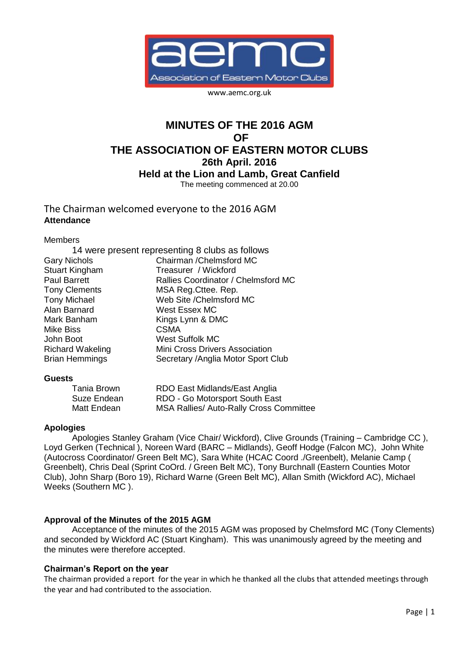

www.aemc.org.uk

# **MINUTES OF THE 2016 AGM OF THE ASSOCIATION OF EASTERN MOTOR CLUBS 26th April. 2016 Held at the Lion and Lamb, Great Canfield** The meeting commenced at 20.00

The Chairman welcomed everyone to the 2016 AGM **Attendance**

Members

| 14 were present representing 8 clubs as follows |
|-------------------------------------------------|
| Chairman / Chelmsford MC                        |
| Treasurer / Wickford                            |
| Rallies Coordinator / Chelmsford MC             |
| MSA Reg. Cttee. Rep.                            |
| Web Site / Chelmsford MC                        |
| West Essex MC                                   |
| Kings Lynn & DMC                                |
| <b>CSMA</b>                                     |
| <b>West Suffolk MC</b>                          |
| Mini Cross Drivers Association                  |
| Secretary /Anglia Motor Sport Club              |
|                                                 |

## **Guests**

| Tania Brown | RDO East Midlands/East Anglia                  |
|-------------|------------------------------------------------|
| Suze Endean | RDO - Go Motorsport South East                 |
| Matt Endean | <b>MSA Rallies/ Auto-Rally Cross Committee</b> |

## **Apologies**

Apologies Stanley Graham (Vice Chair/ Wickford), Clive Grounds (Training – Cambridge CC ), Loyd Gerken (Technical ), Noreen Ward (BARC – Midlands), Geoff Hodge (Falcon MC), John White (Autocross Coordinator/ Green Belt MC), Sara White (HCAC Coord ./Greenbelt), Melanie Camp ( Greenbelt), Chris Deal (Sprint CoOrd. / Green Belt MC), Tony Burchnall (Eastern Counties Motor Club), John Sharp (Boro 19), Richard Warne (Green Belt MC), Allan Smith (Wickford AC), Michael Weeks (Southern MC ).

## **Approval of the Minutes of the 2015 AGM**

Acceptance of the minutes of the 2015 AGM was proposed by Chelmsford MC (Tony Clements) and seconded by Wickford AC (Stuart Kingham). This was unanimously agreed by the meeting and the minutes were therefore accepted.

## **Chairman's Report on the year**

The chairman provided a report for the year in which he thanked all the clubs that attended meetings through the year and had contributed to the association.